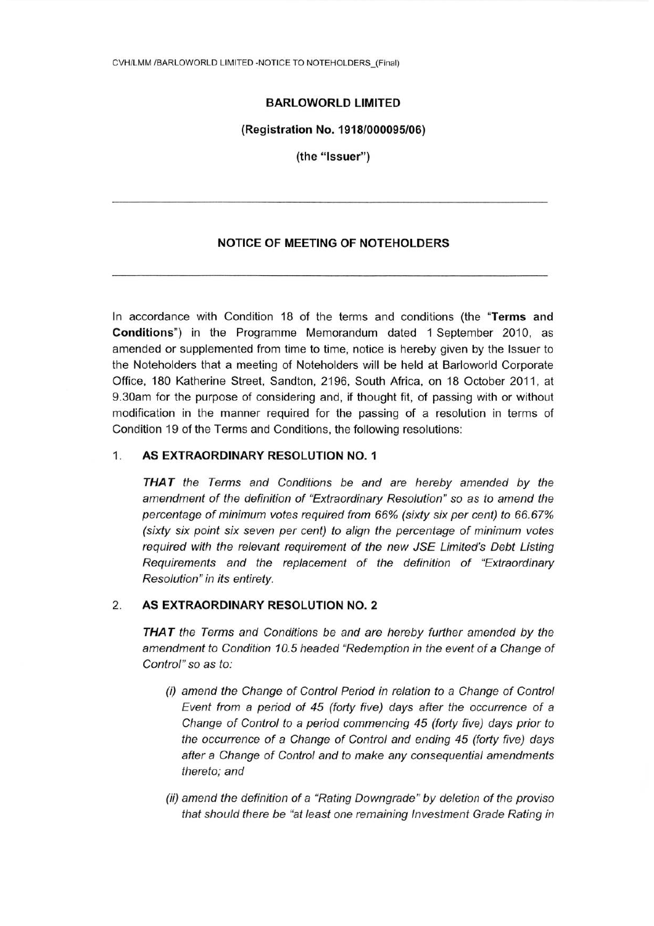# **BARLOWORLD LIMITED**

#### (Registration No. 1918/000095/06)

(the "Issuer")

### **NOTICE OF MEETING OF NOTEHOLDERS**

In accordance with Condition 18 of the terms and conditions (the "Terms and Conditions") in the Programme Memorandum dated 1 September 2010, as amended or supplemented from time to time, notice is hereby given by the Issuer to the Noteholders that a meeting of Noteholders will be held at Barloworld Corporate Office, 180 Katherine Street, Sandton, 2196, South Africa, on 18 October 2011, at 9.30am for the purpose of considering and, if thought fit, of passing with or without modification in the manner required for the passing of a resolution in terms of Condition 19 of the Terms and Conditions, the following resolutions:

#### 1. AS EXTRAORDINARY RESOLUTION NO. 1

**THAT** the Terms and Conditions be and are hereby amended by the amendment of the definition of "Extraordinary Resolution" so as to amend the percentage of minimum votes required from 66% (sixty six per cent) to 66.67% (sixty six point six seven per cent) to align the percentage of minimum votes required with the relevant requirement of the new JSE Limited's Debt Listing Requirements and the replacement of the definition of "Extraordinary Resolution" in its entirety.

#### 2. AS EXTRAORDINARY RESOLUTION NO. 2

THAT the Terms and Conditions be and are hereby further amended by the amendment to Condition 10.5 headed "Redemption in the event of a Change of Control" so as to:

- (i) amend the Change of Control Period in relation to a Change of Control Event from a period of 45 (forty five) days after the occurrence of a Change of Control to a period commencing 45 (forty five) days prior to the occurrence of a Change of Control and ending 45 (forty five) days after a Change of Control and to make any consequential amendments thereto; and
- (ii) amend the definition of a "Rating Downgrade" by deletion of the proviso that should there be "at least one remaining Investment Grade Rating in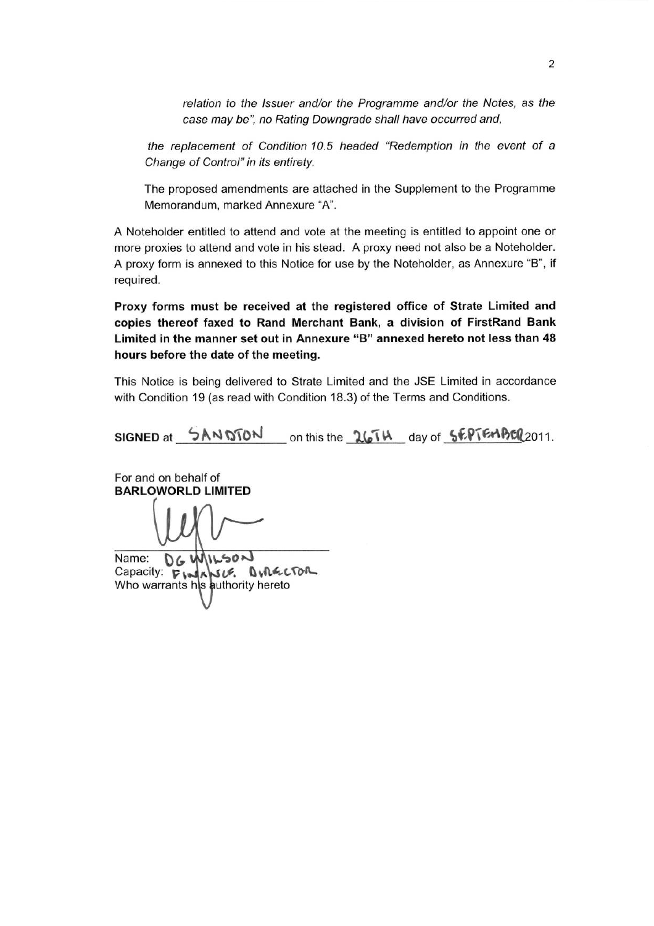relation to the Issuer and/or the Programme and/or the Notes, as the case may be", no Rating Downgrade shall have occurred and,

the replacement of Condition 10.5 headed "Redemption in the event of a Change of Control" in its entirety.

The proposed amendments are attached in the Supplement to the Programme Memorandum, marked Annexure "A".

A Noteholder entitled to attend and vote at the meeting is entitled to appoint one or more proxies to attend and vote in his stead. A proxy need not also be a Noteholder. A proxy form is annexed to this Notice for use by the Noteholder, as Annexure "B", if required.

Proxy forms must be received at the registered office of Strate Limited and copies thereof faxed to Rand Merchant Bank, a division of FirstRand Bank Limited in the manner set out in Annexure "B" annexed hereto not less than 48 hours before the date of the meeting.

This Notice is being delivered to Strate Limited and the JSE Limited in accordance with Condition 19 (as read with Condition 18.3) of the Terms and Conditions.

SIGNED at  $5AMDTON$  on this the  $26Th$  day of  $5EPTEMBCQ2011$ .

For and on behalf of **BARLOWORLD LIMITED** 

Name: DG WILSON Capacity: **P** WASLE. **OWRECTOR**<br>Who warrants his authority hereto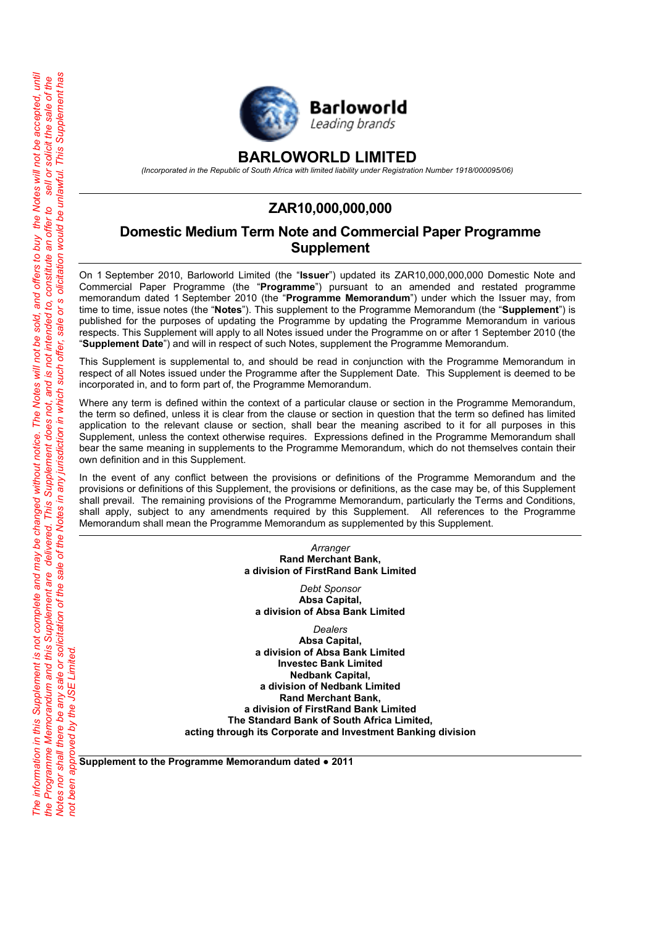

# **BARLOWORLD LIMITED**

*(Incorporated in the Republic of South Africa with limited liability under Registration Number 1918/000095/06)*

# **ZAR10,000,000,000**

# **Domestic Medium Term Note and Commercial Paper Programme Supplement**

On 1 September 2010, Barloworld Limited (the "**Issuer**") updated its ZAR10,000,000,000 Domestic Note and Commercial Paper Programme (the "**Programme**") pursuant to an amended and restated programme memorandum dated 1 September 2010 (the "**Programme Memorandum**") under which the Issuer may, from time to time, issue notes (the "**Notes**"). This supplement to the Programme Memorandum (the "**Supplement**") is published for the purposes of updating the Programme by updating the Programme Memorandum in various respects. This Supplement will apply to all Notes issued under the Programme on or after 1 September 2010 (the "**Supplement Date**") and will in respect of such Notes, supplement the Programme Memorandum.

This Supplement is supplemental to, and should be read in conjunction with the Programme Memorandum in respect of all Notes issued under the Programme after the Supplement Date. This Supplement is deemed to be incorporated in, and to form part of, the Programme Memorandum.

Where any term is defined within the context of a particular clause or section in the Programme Memorandum, the term so defined, unless it is clear from the clause or section in question that the term so defined has limited application to the relevant clause or section, shall bear the meaning ascribed to it for all purposes in this Supplement, unless the context otherwise requires. Expressions defined in the Programme Memorandum shall bear the same meaning in supplements to the Programme Memorandum, which do not themselves contain their own definition and in this Supplement.

In the event of any conflict between the provisions or definitions of the Programme Memorandum and the provisions or definitions of this Supplement, the provisions or definitions, as the case may be, of this Supplement shall prevail. The remaining provisions of the Programme Memorandum, particularly the Terms and Conditions, shall apply, subject to any amendments required by this Supplement. All references to the Programme Memorandum shall mean the Programme Memorandum as supplemented by this Supplement.

> *Arranger* **Rand Merchant Bank, a division of FirstRand Bank Limited**

*Debt Sponsor* **Absa Capital, a division of Absa Bank Limited**

*Dealers*

**Absa Capital, a division of Absa Bank Limited Investec Bank Limited Nedbank Capital, a division of Nedbank Limited Rand Merchant Bank, a division of FirstRand Bank Limited The Standard Bank of South Africa Limited, acting through its Corporate and Investment Banking division**

**Supplement to the Programme Memorandum dated ● 2011**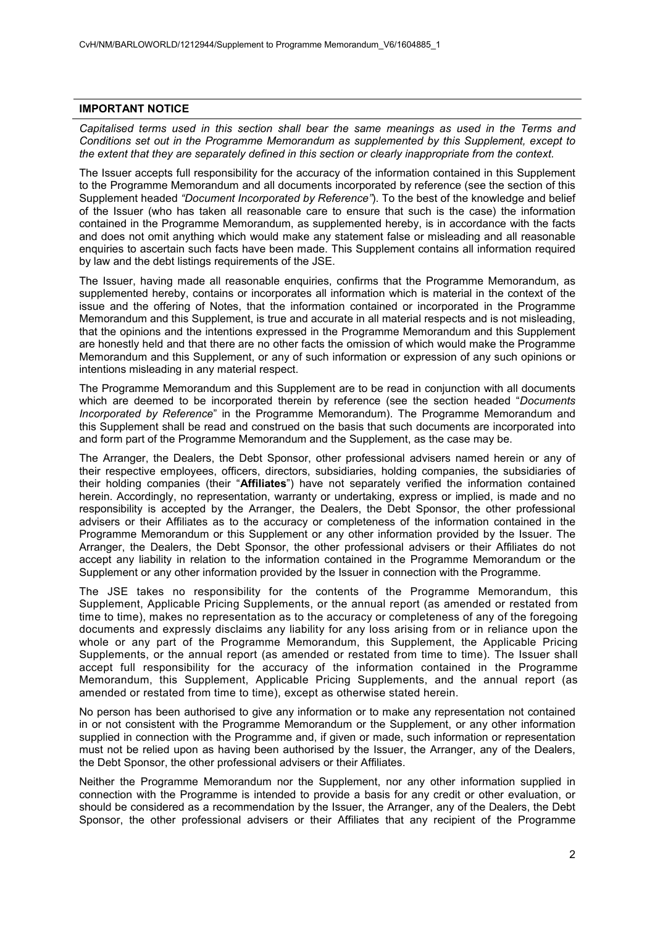#### **IMPORTANT NOTICE**

*Capitalised terms used in this section shall bear the same meanings as used in the Terms and Conditions set out in the Programme Memorandum as supplemented by this Supplement, except to the extent that they are separately defined in this section or clearly inappropriate from the context.*

The Issuer accepts full responsibility for the accuracy of the information contained in this Supplement to the Programme Memorandum and all documents incorporated by reference (see the section of this Supplement headed *"Document Incorporated by Reference"*). To the best of the knowledge and belief of the Issuer (who has taken all reasonable care to ensure that such is the case) the information contained in the Programme Memorandum, as supplemented hereby, is in accordance with the facts and does not omit anything which would make any statement false or misleading and all reasonable enquiries to ascertain such facts have been made. This Supplement contains all information required by law and the debt listings requirements of the JSE.

The Issuer, having made all reasonable enquiries, confirms that the Programme Memorandum, as supplemented hereby, contains or incorporates all information which is material in the context of the issue and the offering of Notes, that the information contained or incorporated in the Programme Memorandum and this Supplement, is true and accurate in all material respects and is not misleading, that the opinions and the intentions expressed in the Programme Memorandum and this Supplement are honestly held and that there are no other facts the omission of which would make the Programme Memorandum and this Supplement, or any of such information or expression of any such opinions or intentions misleading in any material respect.

The Programme Memorandum and this Supplement are to be read in conjunction with all documents which are deemed to be incorporated therein by reference (see the section headed "*Documents Incorporated by Reference*" in the Programme Memorandum). The Programme Memorandum and this Supplement shall be read and construed on the basis that such documents are incorporated into and form part of the Programme Memorandum and the Supplement, as the case may be.

The Arranger, the Dealers, the Debt Sponsor, other professional advisers named herein or any of their respective employees, officers, directors, subsidiaries, holding companies, the subsidiaries of their holding companies (their "**Affiliates**") have not separately verified the information contained herein. Accordingly, no representation, warranty or undertaking, express or implied, is made and no responsibility is accepted by the Arranger, the Dealers, the Debt Sponsor, the other professional advisers or their Affiliates as to the accuracy or completeness of the information contained in the Programme Memorandum or this Supplement or any other information provided by the Issuer. The Arranger, the Dealers, the Debt Sponsor, the other professional advisers or their Affiliates do not accept any liability in relation to the information contained in the Programme Memorandum or the Supplement or any other information provided by the Issuer in connection with the Programme.

The JSE takes no responsibility for the contents of the Programme Memorandum, this Supplement, Applicable Pricing Supplements, or the annual report (as amended or restated from time to time), makes no representation as to the accuracy or completeness of any of the foregoing documents and expressly disclaims any liability for any loss arising from or in reliance upon the whole or any part of the Programme Memorandum, this Supplement, the Applicable Pricing Supplements, or the annual report (as amended or restated from time to time). The Issuer shall accept full responsibility for the accuracy of the information contained in the Programme Memorandum, this Supplement, Applicable Pricing Supplements, and the annual report (as amended or restated from time to time), except as otherwise stated herein.

No person has been authorised to give any information or to make any representation not contained in or not consistent with the Programme Memorandum or the Supplement, or any other information supplied in connection with the Programme and, if given or made, such information or representation must not be relied upon as having been authorised by the Issuer, the Arranger, any of the Dealers, the Debt Sponsor, the other professional advisers or their Affiliates.

Neither the Programme Memorandum nor the Supplement, nor any other information supplied in connection with the Programme is intended to provide a basis for any credit or other evaluation, or should be considered as a recommendation by the Issuer, the Arranger, any of the Dealers, the Debt Sponsor, the other professional advisers or their Affiliates that any recipient of the Programme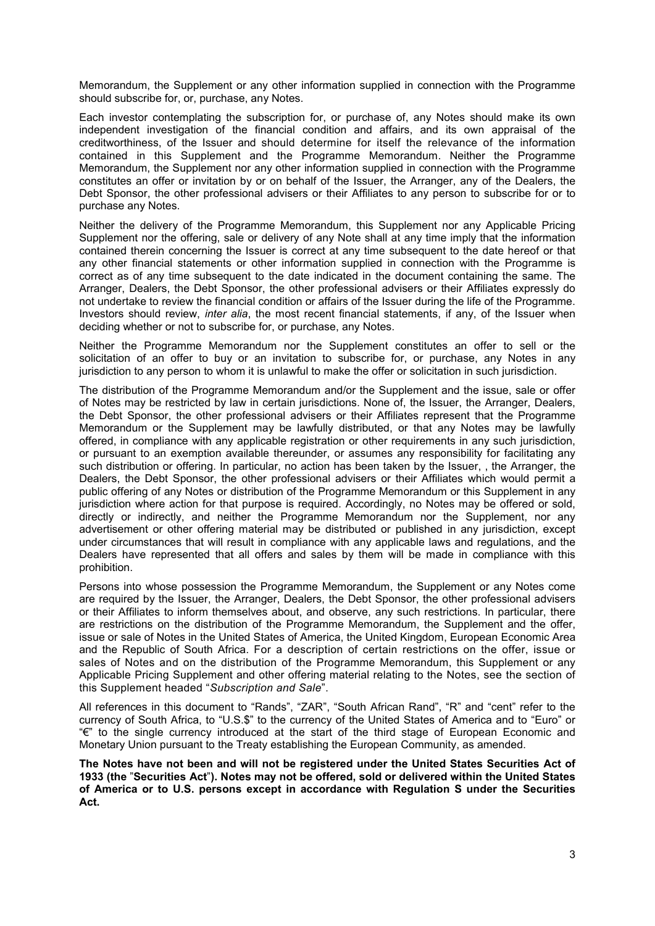Memorandum, the Supplement or any other information supplied in connection with the Programme should subscribe for, or, purchase, any Notes.

Each investor contemplating the subscription for, or purchase of, any Notes should make its own independent investigation of the financial condition and affairs, and its own appraisal of the creditworthiness, of the Issuer and should determine for itself the relevance of the information contained in this Supplement and the Programme Memorandum. Neither the Programme Memorandum, the Supplement nor any other information supplied in connection with the Programme constitutes an offer or invitation by or on behalf of the Issuer, the Arranger, any of the Dealers, the Debt Sponsor, the other professional advisers or their Affiliates to any person to subscribe for or to purchase any Notes.

Neither the delivery of the Programme Memorandum, this Supplement nor any Applicable Pricing Supplement nor the offering, sale or delivery of any Note shall at any time imply that the information contained therein concerning the Issuer is correct at any time subsequent to the date hereof or that any other financial statements or other information supplied in connection with the Programme is correct as of any time subsequent to the date indicated in the document containing the same. The Arranger, Dealers, the Debt Sponsor, the other professional advisers or their Affiliates expressly do not undertake to review the financial condition or affairs of the Issuer during the life of the Programme. Investors should review, *inter alia*, the most recent financial statements, if any, of the Issuer when deciding whether or not to subscribe for, or purchase, any Notes.

Neither the Programme Memorandum nor the Supplement constitutes an offer to sell or the solicitation of an offer to buy or an invitation to subscribe for, or purchase, any Notes in any jurisdiction to any person to whom it is unlawful to make the offer or solicitation in such jurisdiction.

The distribution of the Programme Memorandum and/or the Supplement and the issue, sale or offer of Notes may be restricted by law in certain jurisdictions. None of, the Issuer, the Arranger, Dealers, the Debt Sponsor, the other professional advisers or their Affiliates represent that the Programme Memorandum or the Supplement may be lawfully distributed, or that any Notes may be lawfully offered, in compliance with any applicable registration or other requirements in any such jurisdiction, or pursuant to an exemption available thereunder, or assumes any responsibility for facilitating any such distribution or offering. In particular, no action has been taken by the Issuer, , the Arranger, the Dealers, the Debt Sponsor, the other professional advisers or their Affiliates which would permit a public offering of any Notes or distribution of the Programme Memorandum or this Supplement in any jurisdiction where action for that purpose is required. Accordingly, no Notes may be offered or sold, directly or indirectly, and neither the Programme Memorandum nor the Supplement, nor any advertisement or other offering material may be distributed or published in any jurisdiction, except under circumstances that will result in compliance with any applicable laws and regulations, and the Dealers have represented that all offers and sales by them will be made in compliance with this prohibition.

Persons into whose possession the Programme Memorandum, the Supplement or any Notes come are required by the Issuer, the Arranger, Dealers, the Debt Sponsor, the other professional advisers or their Affiliates to inform themselves about, and observe, any such restrictions. In particular, there are restrictions on the distribution of the Programme Memorandum, the Supplement and the offer, issue or sale of Notes in the United States of America, the United Kingdom, European Economic Area and the Republic of South Africa. For a description of certain restrictions on the offer, issue or sales of Notes and on the distribution of the Programme Memorandum, this Supplement or any Applicable Pricing Supplement and other offering material relating to the Notes, see the section of this Supplement headed "*Subscription and Sale*".

All references in this document to "Rands", "ZAR", "South African Rand", "R" and "cent" refer to the currency of South Africa, to "U.S.\$" to the currency of the United States of America and to "Euro" or "€" to the single currency introduced at the start of the third stage of European Economic and Monetary Union pursuant to the Treaty establishing the European Community, as amended.

**The Notes have not been and will not be registered under the United States Securities Act of 1933 (the** "**Securities Act**"**). Notes may not be offered, sold or delivered within the United States of America or to U.S. persons except in accordance with Regulation S under the Securities Act.**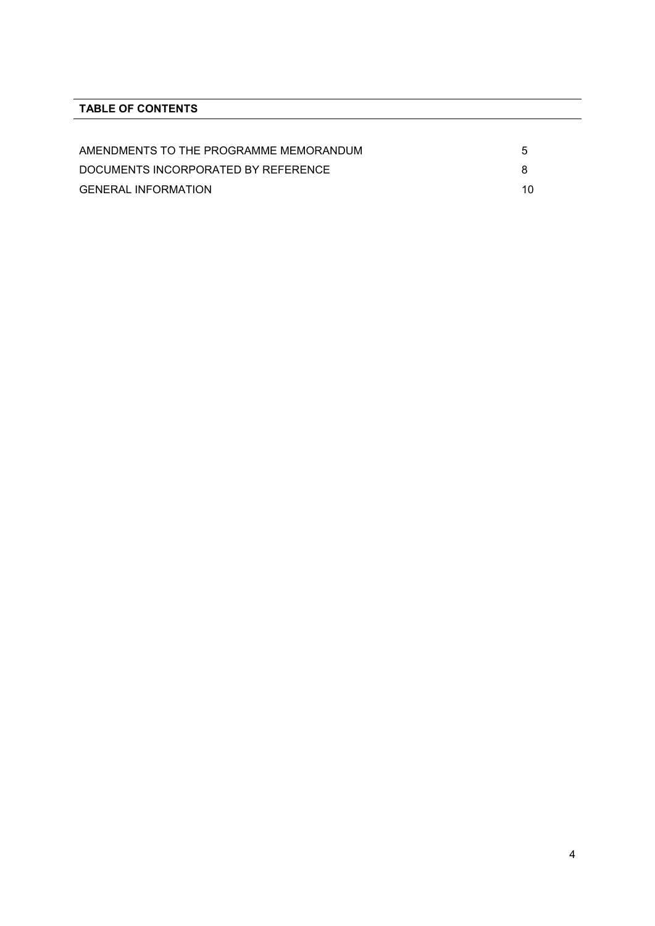# **TABLE OF CONTENTS**

| AMENDMENTS TO THE PROGRAMME MEMORANDUM | 5 |
|----------------------------------------|---|
| DOCUMENTS INCORPORATED BY REFERENCE    |   |
| <b>GENERAL INFORMATION</b>             |   |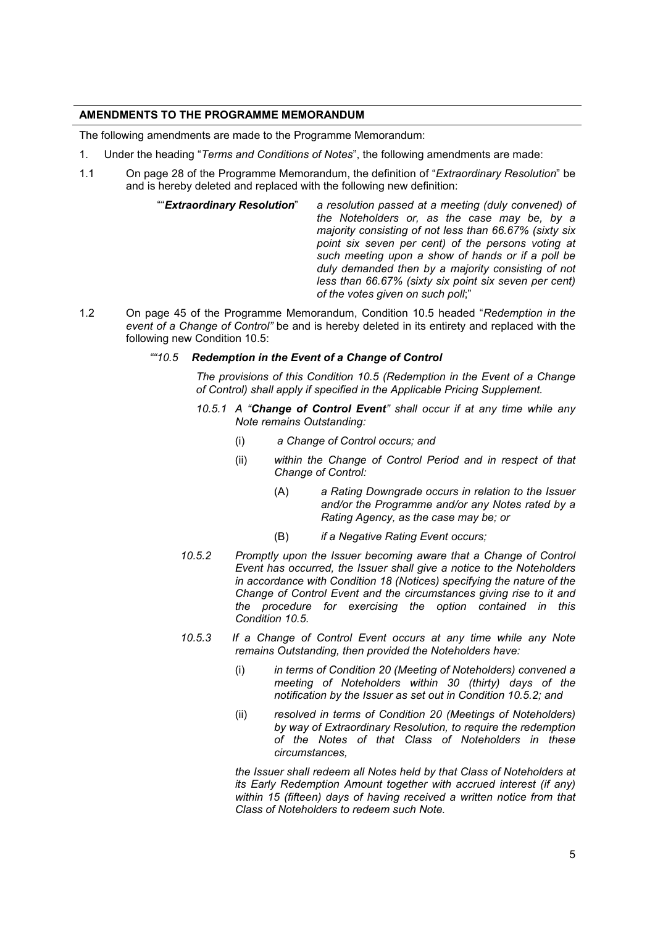# **AMENDMENTS TO THE PROGRAMME MEMORANDUM**

The following amendments are made to the Programme Memorandum:

- 1. Under the heading "*Terms and Conditions of Notes*", the following amendments are made:
- 1.1 On page 28 of the Programme Memorandum, the definition of "*Extraordinary Resolution*" be and is hereby deleted and replaced with the following new definition:
	- ""*Extraordinary Resolution*" *a resolution passed at a meeting (duly convened) of the Noteholders or, as the case may be, by a majority consisting of not less than 66.67% (sixty six point six seven per cent) of the persons voting at such meeting upon a show of hands or if a poll be duly demanded then by a majority consisting of not less than 66.67% (sixty six point six seven per cent) of the votes given on such poll*;"
- 1.2 On page 45 of the Programme Memorandum, Condition 10.5 headed "*Redemption in the event of a Change of Control"* be and is hereby deleted in its entirety and replaced with the following new Condition 10.5:

### *""10.5 Redemption in the Event of a Change of Control*

*The provisions of this Condition 10.5 (Redemption in the Event of a Change of Control) shall apply if specified in the Applicable Pricing Supplement.*

- *10.5.1 A "Change of Control Event" shall occur if at any time while any Note remains Outstanding:*
	- (i) *a Change of Control occurs; and*
	- (ii) *within the Change of Control Period and in respect of that Change of Control:*
		- (A) *a Rating Downgrade occurs in relation to the Issuer and/or the Programme and/or any Notes rated by a Rating Agency, as the case may be; or*
		- (B) *if a Negative Rating Event occurs;*
- *10.5.2 Promptly upon the Issuer becoming aware that a Change of Control Event has occurred, the Issuer shall give a notice to the Noteholders in accordance with Condition 18 (Notices) specifying the nature of the Change of Control Event and the circumstances giving rise to it and the procedure for exercising the option contained in this Condition 10.5.*
- *10.5.3 If a Change of Control Event occurs at any time while any Note remains Outstanding, then provided the Noteholders have:*
	- (i) *in terms of Condition 20 (Meeting of Noteholders) convened a meeting of Noteholders within 30 (thirty) days of the notification by the Issuer as set out in Condition 10.5.2; and*
	- (ii) *resolved in terms of Condition 20 (Meetings of Noteholders) by way of Extraordinary Resolution, to require the redemption of the Notes of that Class of Noteholders in these circumstances,*

*the Issuer shall redeem all Notes held by that Class of Noteholders at its Early Redemption Amount together with accrued interest (if any) within 15 (fifteen) days of having received a written notice from that Class of Noteholders to redeem such Note.*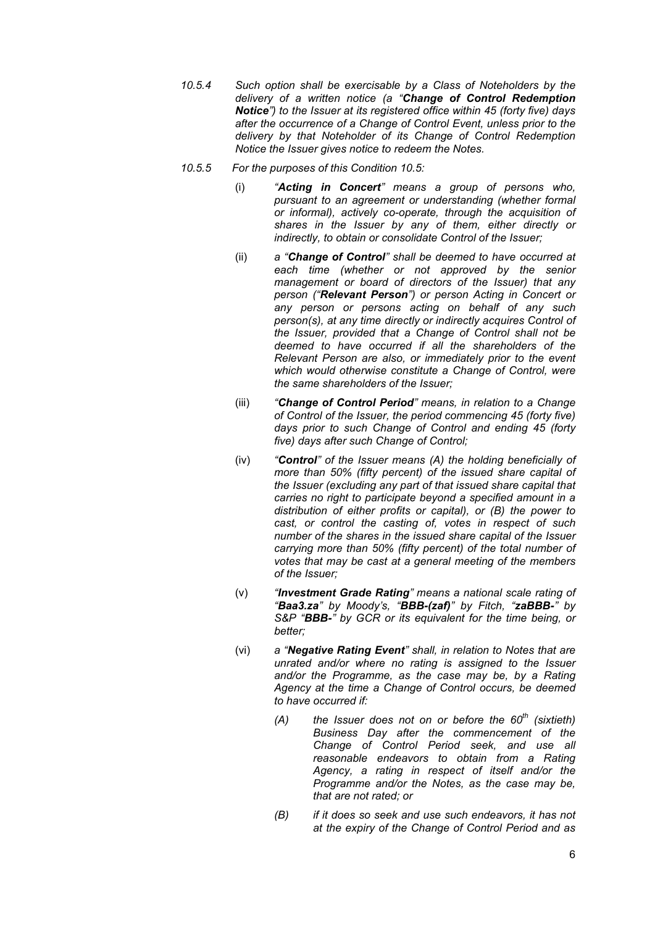- *10.5.4 Such option shall be exercisable by a Class of Noteholders by the delivery of a written notice (a "Change of Control Redemption Notice") to the Issuer at its registered office within 45 (forty five) days after the occurrence of a Change of Control Event, unless prior to the delivery by that Noteholder of its Change of Control Redemption Notice the Issuer gives notice to redeem the Notes.*
- *10.5.5 For the purposes of this Condition 10.5:*
	- (i) *"Acting in Concert" means a group of persons who, pursuant to an agreement or understanding (whether formal or informal), actively co-operate, through the acquisition of shares in the Issuer by any of them, either directly or indirectly, to obtain or consolidate Control of the Issuer;*
	- (ii) *a "Change of Control" shall be deemed to have occurred at each time (whether or not approved by the senior management or board of directors of the Issuer) that any person ("Relevant Person") or person Acting in Concert or any person or persons acting on behalf of any such person(s), at any time directly or indirectly acquires Control of the Issuer, provided that a Change of Control shall not be deemed to have occurred if all the shareholders of the Relevant Person are also, or immediately prior to the event which would otherwise constitute a Change of Control, were the same shareholders of the Issuer;*
	- (iii) *"Change of Control Period" means, in relation to a Change of Control of the Issuer, the period commencing 45 (forty five) days prior to such Change of Control and ending 45 (forty five) days after such Change of Control;*
	- (iv) *"Control" of the Issuer means (A) the holding beneficially of more than 50% (fifty percent) of the issued share capital of the Issuer (excluding any part of that issued share capital that carries no right to participate beyond a specified amount in a distribution of either profits or capital), or (B) the power to cast, or control the casting of, votes in respect of such number of the shares in the issued share capital of the Issuer carrying more than 50% (fifty percent) of the total number of votes that may be cast at a general meeting of the members of the Issuer;*
	- (v) *"Investment Grade Rating" means a national scale rating of "Baa3.za" by Moody's, "BBB-(zaf)" by Fitch, "zaBBB-" by S&P "BBB-" by GCR or its equivalent for the time being, or better;*
	- (vi) *a "Negative Rating Event" shall, in relation to Notes that are unrated and/or where no rating is assigned to the Issuer and/or the Programme, as the case may be, by a Rating Agency at the time a Change of Control occurs, be deemed to have occurred if:*
		- *(A) the Issuer does not on or before the 60th (sixtieth) Business Day after the commencement of the Change of Control Period seek, and use all reasonable endeavors to obtain from a Rating Agency, a rating in respect of itself and/or the Programme and/or the Notes, as the case may be, that are not rated; or*
		- *(B) if it does so seek and use such endeavors, it has not at the expiry of the Change of Control Period and as*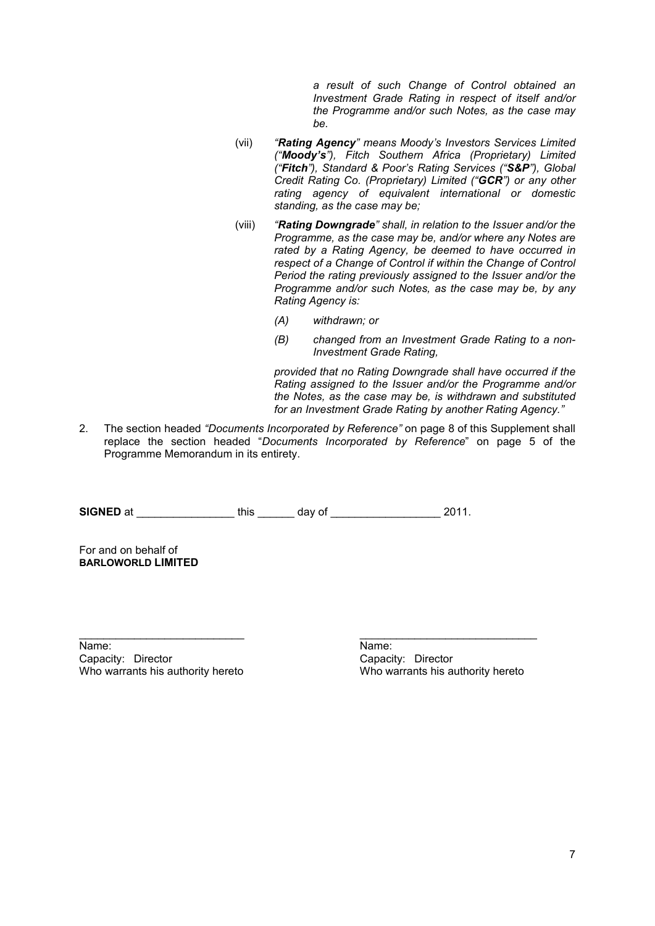*a result of such Change of Control obtained an Investment Grade Rating in respect of itself and/or the Programme and/or such Notes, as the case may be.*

- (vii) *"Rating Agency" means Moody's Investors Services Limited ("Moody's"), Fitch Southern Africa (Proprietary) Limited ("Fitch"), Standard & Poor's Rating Services ("S&P"), Global Credit Rating Co. (Proprietary) Limited ("GCR") or any other rating agency of equivalent international or domestic standing, as the case may be;*
- (viii) *"Rating Downgrade" shall, in relation to the Issuer and/or the Programme, as the case may be, and/or where any Notes are rated by a Rating Agency, be deemed to have occurred in respect of a Change of Control if within the Change of Control Period the rating previously assigned to the Issuer and/or the Programme and/or such Notes, as the case may be, by any Rating Agency is:*
	- *(A) withdrawn; or*
	- *(B) changed from an Investment Grade Rating to a non-Investment Grade Rating,*

*provided that no Rating Downgrade shall have occurred if the Rating assigned to the Issuer and/or the Programme and/or the Notes, as the case may be, is withdrawn and substituted for an Investment Grade Rating by another Rating Agency."*

2. The section headed *"Documents Incorporated by Reference"* on page 8 of this Supplement shall replace the section headed "*Documents Incorporated by Reference*" on page 5 of the Programme Memorandum in its entirety.

**SIGNED** at  $\qquad \qquad \text{this} \qquad \qquad \text{day of} \qquad \qquad \text{2011}.$ 

\_\_\_\_\_\_\_\_\_\_\_\_\_\_\_\_\_\_\_\_\_\_\_\_\_\_\_ \_\_\_\_\_\_\_\_\_\_\_\_\_\_\_\_\_\_\_\_\_\_\_\_\_\_\_\_\_

For and on behalf of **BARLOWORLD LIMITED**

Name: Name: Capacity: Director Capacity: Director

Who warrants his authority hereto Who warrants his authority hereto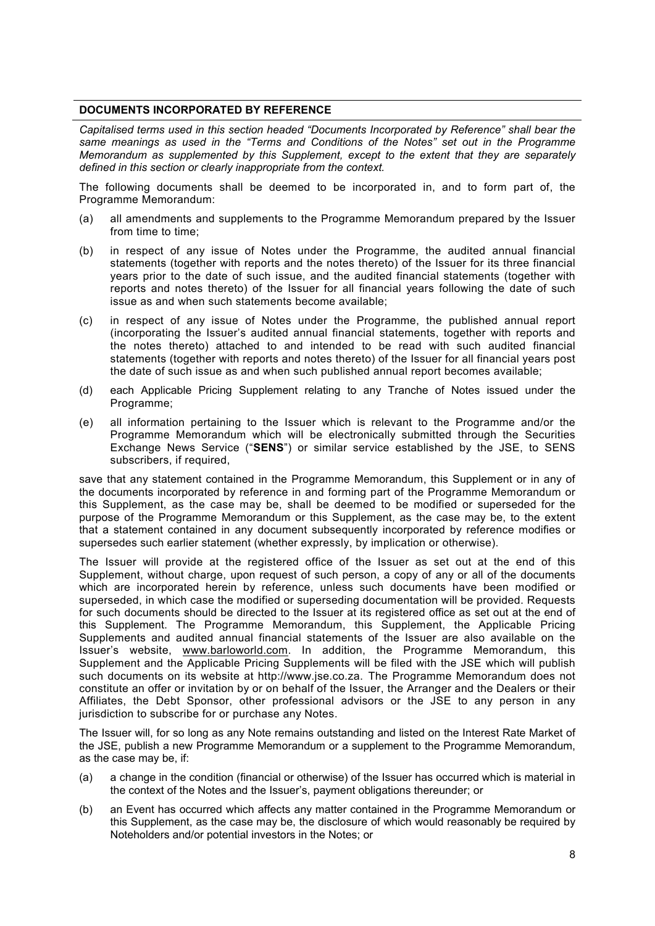#### **DOCUMENTS INCORPORATED BY REFERENCE**

*Capitalised terms used in this section headed "Documents Incorporated by Reference" shall bear the same meanings as used in the "Terms and Conditions of the Notes" set out in the Programme Memorandum as supplemented by this Supplement, except to the extent that they are separately defined in this section or clearly inappropriate from the context.*

The following documents shall be deemed to be incorporated in, and to form part of, the Programme Memorandum:

- (a) all amendments and supplements to the Programme Memorandum prepared by the Issuer from time to time;
- (b) in respect of any issue of Notes under the Programme, the audited annual financial statements (together with reports and the notes thereto) of the Issuer for its three financial years prior to the date of such issue, and the audited financial statements (together with reports and notes thereto) of the Issuer for all financial years following the date of such issue as and when such statements become available;
- (c) in respect of any issue of Notes under the Programme, the published annual report (incorporating the Issuer's audited annual financial statements, together with reports and the notes thereto) attached to and intended to be read with such audited financial statements (together with reports and notes thereto) of the Issuer for all financial years post the date of such issue as and when such published annual report becomes available;
- (d) each Applicable Pricing Supplement relating to any Tranche of Notes issued under the Programme;
- (e) all information pertaining to the Issuer which is relevant to the Programme and/or the Programme Memorandum which will be electronically submitted through the Securities Exchange News Service ("**SENS**") or similar service established by the JSE, to SENS subscribers, if required,

save that any statement contained in the Programme Memorandum, this Supplement or in any of the documents incorporated by reference in and forming part of the Programme Memorandum or this Supplement, as the case may be, shall be deemed to be modified or superseded for the purpose of the Programme Memorandum or this Supplement, as the case may be, to the extent that a statement contained in any document subsequently incorporated by reference modifies or supersedes such earlier statement (whether expressly, by implication or otherwise).

The Issuer will provide at the registered office of the Issuer as set out at the end of this Supplement, without charge, upon request of such person, a copy of any or all of the documents which are incorporated herein by reference, unless such documents have been modified or superseded, in which case the modified or superseding documentation will be provided. Requests for such documents should be directed to the Issuer at its registered office as set out at the end of this Supplement. The Programme Memorandum, this Supplement, the Applicable Pricing Supplements and audited annual financial statements of the Issuer are also available on the Issuer's website, www.barloworld.com. In addition, the Programme Memorandum, this Supplement and the Applicable Pricing Supplements will be filed with the JSE which will publish such documents on its website at http://www.jse.co.za. The Programme Memorandum does not constitute an offer or invitation by or on behalf of the Issuer, the Arranger and the Dealers or their Affiliates, the Debt Sponsor, other professional advisors or the JSE to any person in any jurisdiction to subscribe for or purchase any Notes.

The Issuer will, for so long as any Note remains outstanding and listed on the Interest Rate Market of the JSE, publish a new Programme Memorandum or a supplement to the Programme Memorandum, as the case may be, if:

- (a) a change in the condition (financial or otherwise) of the Issuer has occurred which is material in the context of the Notes and the Issuer's, payment obligations thereunder; or
- (b) an Event has occurred which affects any matter contained in the Programme Memorandum or this Supplement, as the case may be, the disclosure of which would reasonably be required by Noteholders and/or potential investors in the Notes; or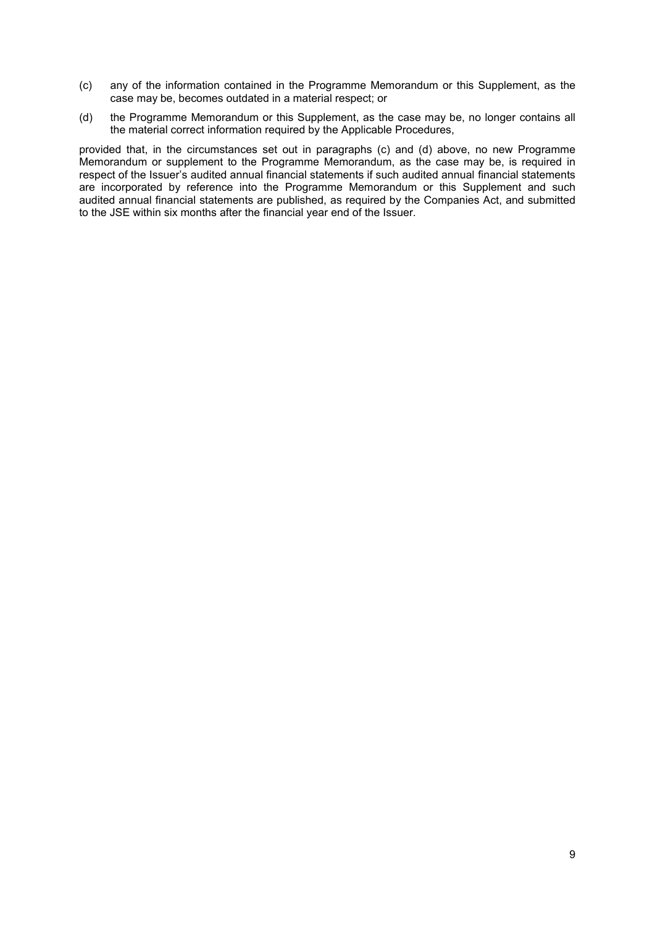- (c) any of the information contained in the Programme Memorandum or this Supplement, as the case may be, becomes outdated in a material respect; or
- (d) the Programme Memorandum or this Supplement, as the case may be, no longer contains all the material correct information required by the Applicable Procedures,

provided that, in the circumstances set out in paragraphs (c) and (d) above, no new Programme Memorandum or supplement to the Programme Memorandum, as the case may be, is required in respect of the Issuer's audited annual financial statements if such audited annual financial statements are incorporated by reference into the Programme Memorandum or this Supplement and such audited annual financial statements are published, as required by the Companies Act, and submitted to the JSE within six months after the financial year end of the Issuer.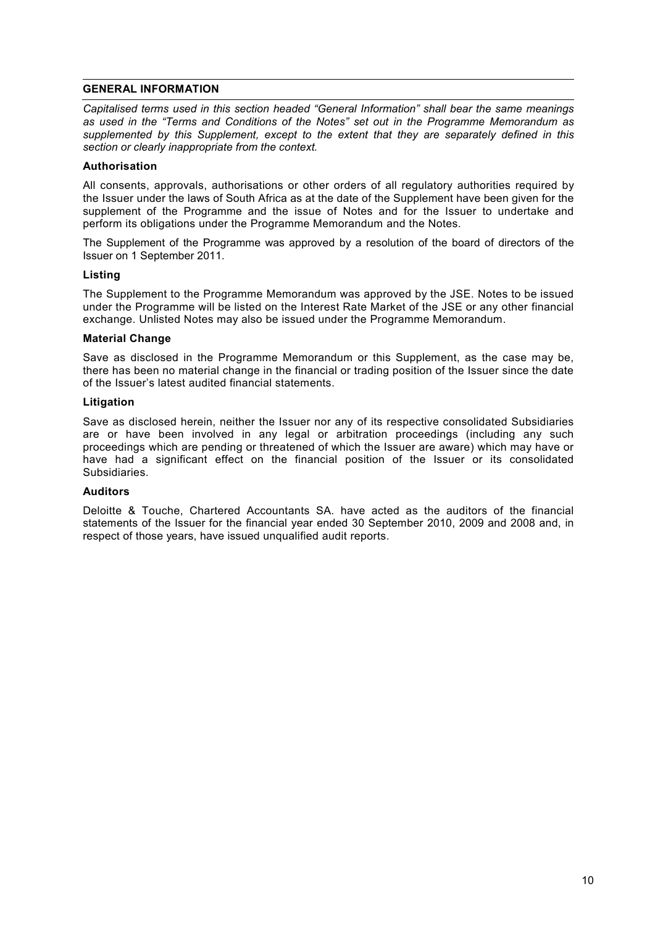#### **GENERAL INFORMATION**

*Capitalised terms used in this section headed "General Information" shall bear the same meanings as used in the "Terms and Conditions of the Notes" set out in the Programme Memorandum as supplemented by this Supplement, except to the extent that they are separately defined in this section or clearly inappropriate from the context.*

#### **Authorisation**

All consents, approvals, authorisations or other orders of all regulatory authorities required by the Issuer under the laws of South Africa as at the date of the Supplement have been given for the supplement of the Programme and the issue of Notes and for the Issuer to undertake and perform its obligations under the Programme Memorandum and the Notes.

The Supplement of the Programme was approved by a resolution of the board of directors of the Issuer on 1 September 2011.

### **Listing**

The Supplement to the Programme Memorandum was approved by the JSE. Notes to be issued under the Programme will be listed on the Interest Rate Market of the JSE or any other financial exchange. Unlisted Notes may also be issued under the Programme Memorandum.

### **Material Change**

Save as disclosed in the Programme Memorandum or this Supplement, as the case may be, there has been no material change in the financial or trading position of the Issuer since the date of the Issuer's latest audited financial statements.

### **Litigation**

Save as disclosed herein, neither the Issuer nor any of its respective consolidated Subsidiaries are or have been involved in any legal or arbitration proceedings (including any such proceedings which are pending or threatened of which the Issuer are aware) which may have or have had a significant effect on the financial position of the Issuer or its consolidated Subsidiaries.

#### **Auditors**

Deloitte & Touche, Chartered Accountants SA. have acted as the auditors of the financial statements of the Issuer for the financial year ended 30 September 2010, 2009 and 2008 and, in respect of those years, have issued unqualified audit reports.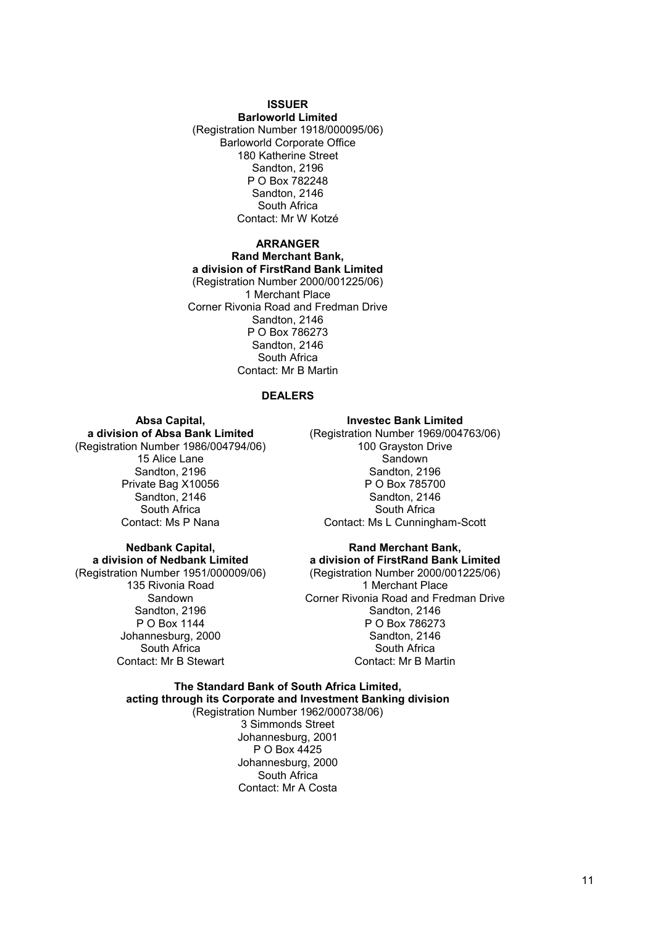#### **ISSUER**

**Barloworld Limited** (Registration Number 1918/000095/06) Barloworld Corporate Office 180 Katherine Street Sandton, 2196 P O Box 782248 Sandton, 2146 South Africa Contact: Mr W Kotzé

#### **ARRANGER Rand Merchant Bank, a division of FirstRand Bank Limited** (Registration Number 2000/001225/06) 1 Merchant Place Corner Rivonia Road and Fredman Drive Sandton, 2146 P O Box 786273 Sandton, 2146 South Africa Contact: Mr B Martin

#### **DEALERS**

# **Absa Capital,**

**a division of Absa Bank Limited** (Registration Number 1986/004794/06) 15 Alice Lane Sandton, 2196 Private Bag X10056

Sandton, 2146 South Africa Contact: Ms P Nana

#### **Nedbank Capital, a division of Nedbank Limited** (Registration Number 1951/000009/06) 135 Rivonia Road **Sandown** Sandton, 2196

P O Box 1144 Johannesburg, 2000 South Africa Contact: Mr B Stewart

#### **Investec Bank Limited**

(Registration Number 1969/004763/06) 100 Grayston Drive **Sandown** Sandton, 2196 P O Box 785700 Sandton, 2146 South Africa Contact: Ms L Cunningham-Scott

**Rand Merchant Bank, a division of FirstRand Bank Limited** (Registration Number 2000/001225/06) 1 Merchant Place Corner Rivonia Road and Fredman Drive Sandton, 2146 P O Box 786273 Sandton, 2146 South Africa Contact: Mr B Martin

**The Standard Bank of South Africa Limited, acting through its Corporate and Investment Banking division** (Registration Number 1962/000738/06) 3 Simmonds Street Johannesburg, 2001 P O Box 4425 Johannesburg, 2000 South Africa Contact: Mr A Costa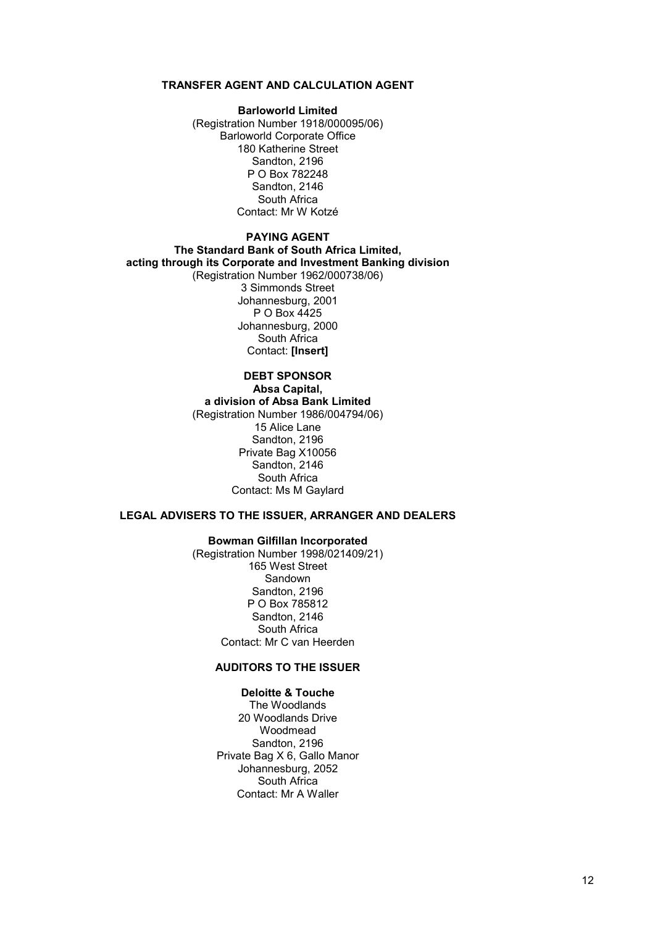# **TRANSFER AGENT AND CALCULATION AGENT**

#### **Barloworld Limited**

(Registration Number 1918/000095/06) Barloworld Corporate Office 180 Katherine Street Sandton, 2196 P O Box 782248 Sandton, 2146 South Africa Contact: Mr W Kotzé

# **PAYING AGENT**

**The Standard Bank of South Africa Limited, acting through its Corporate and Investment Banking division** (Registration Number 1962/000738/06) 3 Simmonds Street Johannesburg, 2001 P O Box 4425 Johannesburg, 2000 South Africa Contact: **[Insert]**

#### **DEBT SPONSOR Absa Capital, a division of Absa Bank Limited** (Registration Number 1986/004794/06) 15 Alice Lane Sandton, 2196 Private Bag X10056 Sandton, 2146 South Africa Contact: Ms M Gaylard

# **LEGAL ADVISERS TO THE ISSUER, ARRANGER AND DEALERS**

#### **Bowman Gilfillan Incorporated**

(Registration Number 1998/021409/21) 165 West Street Sandown Sandton, 2196 P O Box 785812 Sandton, 2146 South Africa Contact: Mr C van Heerden

### **AUDITORS TO THE ISSUER**

# **Deloitte & Touche**

The Woodlands 20 Woodlands Drive Woodmead Sandton, 2196 Private Bag X 6, Gallo Manor Johannesburg, 2052 South Africa Contact: Mr A Waller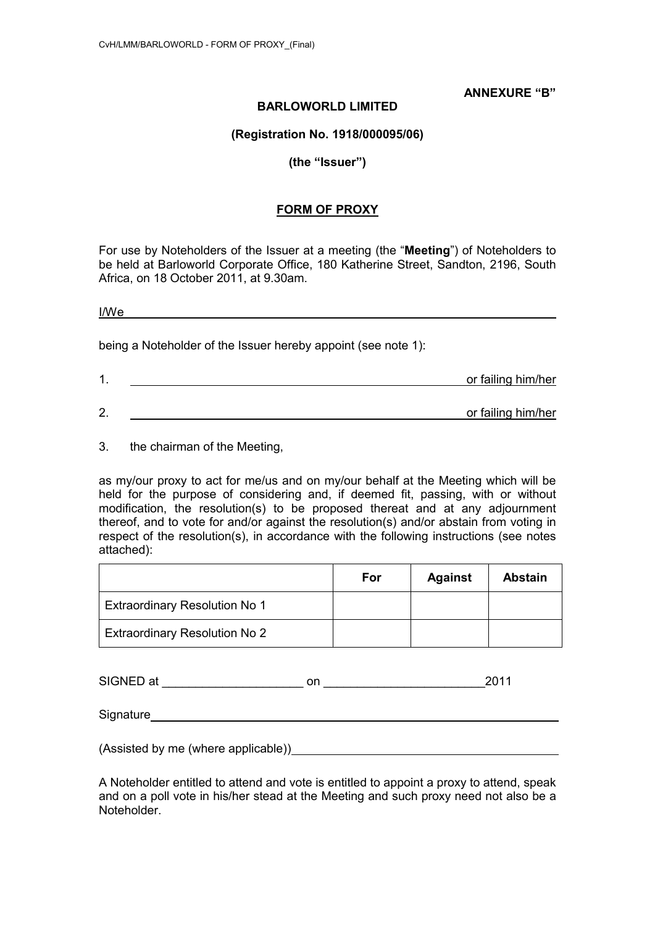**ANNEXURE "B"**

# **BARLOWORLD LIMITED**

**(Registration No. 1918/000095/06)**

# **(the "Issuer")**

# **FORM OF PROXY**

For use by Noteholders of the Issuer at a meeting (the "**Meeting**") of Noteholders to be held at Barloworld Corporate Office, 180 Katherine Street, Sandton, 2196, South Africa, on 18 October 2011, at 9.30am.

I/We 

being a Noteholder of the Issuer hereby appoint (see note 1):

| и  | or failing him/her |
|----|--------------------|
|    |                    |
| 2. | or failing him/her |

3. the chairman of the Meeting,

as my/our proxy to act for me/us and on my/our behalf at the Meeting which will be held for the purpose of considering and, if deemed fit, passing, with or without modification, the resolution(s) to be proposed thereat and at any adjournment thereof, and to vote for and/or against the resolution(s) and/or abstain from voting in respect of the resolution(s), in accordance with the following instructions (see notes attached):

|                                      | For | <b>Against</b> | <b>Abstain</b> |
|--------------------------------------|-----|----------------|----------------|
| <b>Extraordinary Resolution No 1</b> |     |                |                |
| <b>Extraordinary Resolution No 2</b> |     |                |                |

SIGNED at \_\_\_\_\_\_\_\_\_\_\_\_\_\_\_\_\_\_\_\_\_ on \_\_\_\_\_\_\_\_\_\_\_\_\_\_\_\_\_\_\_\_\_\_\_\_2011

Signature **Signature Signature Signature** 

(Assisted by me (where applicable))

A Noteholder entitled to attend and vote is entitled to appoint a proxy to attend, speak and on a poll vote in his/her stead at the Meeting and such proxy need not also be a Noteholder.